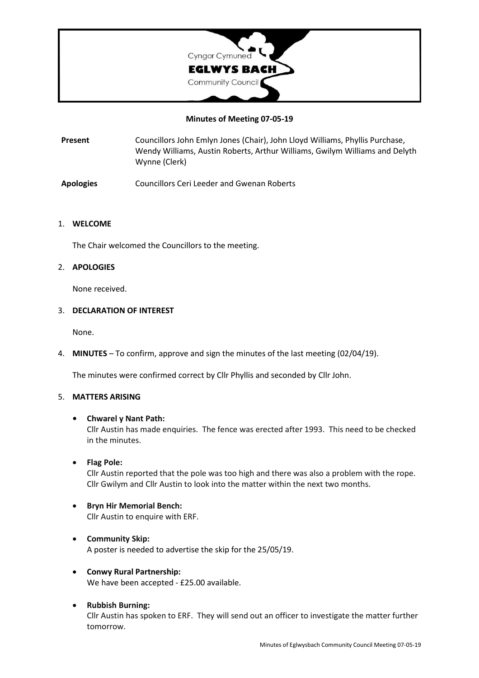

### **Minutes of Meeting 07-05-19**

**Present** Councillors John Emlyn Jones (Chair), John Lloyd Williams, Phyllis Purchase, Wendy Williams, Austin Roberts, Arthur Williams, Gwilym Williams and Delyth Wynne (Clerk)

**Apologies** Councillors Ceri Leeder and Gwenan Roberts

### 1. **WELCOME**

The Chair welcomed the Councillors to the meeting.

### 2. **APOLOGIES**

None received.

#### 3. **DECLARATION OF INTEREST**

None.

4. **MINUTES** – To confirm, approve and sign the minutes of the last meeting (02/04/19).

The minutes were confirmed correct by Cllr Phyllis and seconded by Cllr John.

### 5. **MATTERS ARISING**

### **• Chwarel y Nant Path:**

Cllr Austin has made enquiries. The fence was erected after 1993. This need to be checked in the minutes.

• **Flag Pole:**

Cllr Austin reported that the pole was too high and there was also a problem with the rope. Cllr Gwilym and Cllr Austin to look into the matter within the next two months.

- **Bryn Hir Memorial Bench:** Cllr Austin to enquire with ERF.
- **Community Skip:** A poster is needed to advertise the skip for the 25/05/19.
- **Conwy Rural Partnership:** We have been accepted - £25.00 available.
- **Rubbish Burning:** Cllr Austin has spoken to ERF. They will send out an officer to investigate the matter further tomorrow.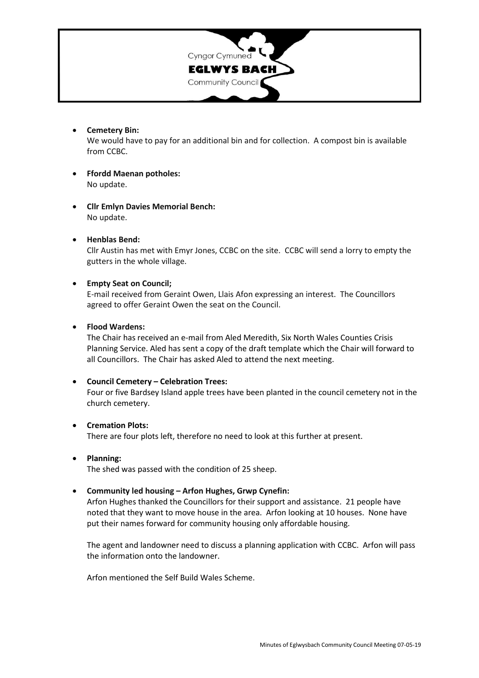

• **Cemetery Bin:**

We would have to pay for an additional bin and for collection. A compost bin is available from CCBC.

- **Ffordd Maenan potholes:** No update.
- **Cllr Emlyn Davies Memorial Bench:** No update.
- **Henblas Bend:**

Cllr Austin has met with Emyr Jones, CCBC on the site. CCBC will send a lorry to empty the gutters in the whole village.

## • **Empty Seat on Council;**

E-mail received from Geraint Owen, Llais Afon expressing an interest. The Councillors agreed to offer Geraint Owen the seat on the Council.

## • **Flood Wardens:**

The Chair has received an e-mail from Aled Meredith, Six North Wales Counties Crisis Planning Service. Aled has sent a copy of the draft template which the Chair will forward to all Councillors. The Chair has asked Aled to attend the next meeting.

### • **Council Cemetery – Celebration Trees:**

Four or five Bardsey Island apple trees have been planted in the council cemetery not in the church cemetery.

### • **Cremation Plots:**

There are four plots left, therefore no need to look at this further at present.

### • **Planning:**

The shed was passed with the condition of 25 sheep.

# • **Community led housing – Arfon Hughes, Grwp Cynefin:**

Arfon Hughes thanked the Councillors for their support and assistance. 21 people have noted that they want to move house in the area. Arfon looking at 10 houses. None have put their names forward for community housing only affordable housing.

The agent and landowner need to discuss a planning application with CCBC. Arfon will pass the information onto the landowner.

Arfon mentioned the Self Build Wales Scheme.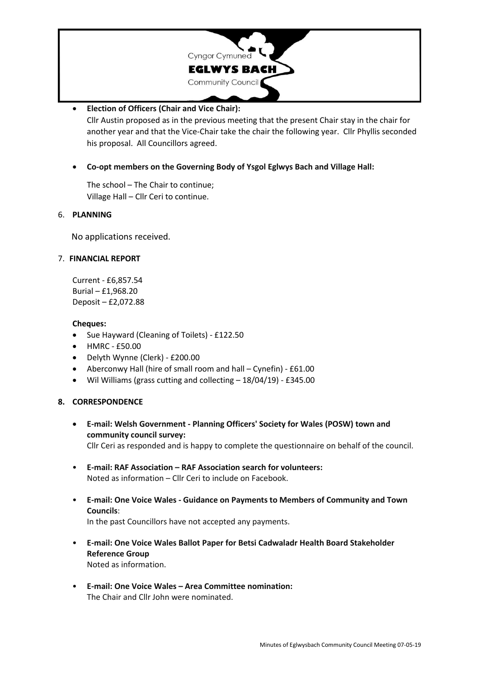

# • **Election of Officers (Chair and Vice Chair):**

Cllr Austin proposed as in the previous meeting that the present Chair stay in the chair for another year and that the Vice-Chair take the chair the following year. Cllr Phyllis seconded his proposal. All Councillors agreed.

• **Co-opt members on the Governing Body of Ysgol Eglwys Bach and Village Hall:**

The school – The Chair to continue; Village Hall – Cllr Ceri to continue.

# 6. **PLANNING**

No applications received.

# 7. **FINANCIAL REPORT**

Current - £6,857.54 Burial – £1,968.20 Deposit – £2,072.88

## **Cheques:**

- Sue Hayward (Cleaning of Toilets) £122.50
- HMRC £50.00
- Delyth Wynne (Clerk) £200.00
- Aberconwy Hall (hire of small room and hall Cynefin) £61.00
- Wil Williams (grass cutting and collecting 18/04/19) £345.00

# **8. CORRESPONDENCE**

- **E-mail: Welsh Government - Planning Officers' Society for Wales (POSW) town and community council survey:** Cllr Ceri as responded and is happy to complete the questionnaire on behalf of the council.
- **E-mail: RAF Association – RAF Association search for volunteers:** Noted as information – Cllr Ceri to include on Facebook.
- **E-mail: One Voice Wales - Guidance on Payments to Members of Community and Town Councils**: In the past Councillors have not accepted any payments.
- **E-mail: One Voice Wales Ballot Paper for Betsi Cadwaladr Health Board Stakeholder Reference Group** Noted as information.
- **E-mail: One Voice Wales – Area Committee nomination:** The Chair and Cllr John were nominated.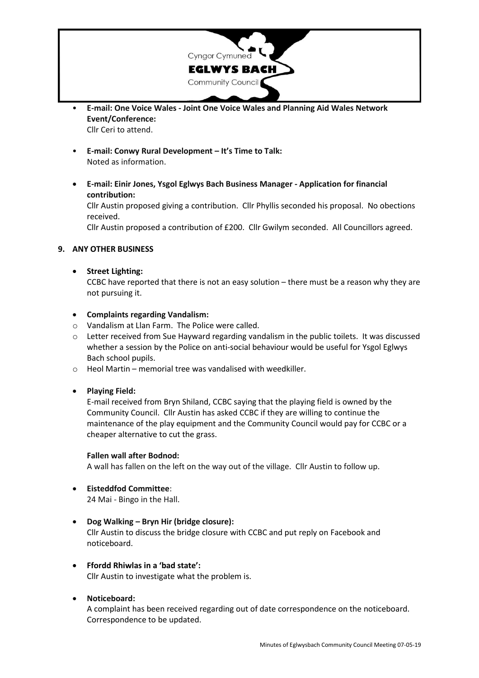

- **E-mail: One Voice Wales - Joint One Voice Wales and Planning Aid Wales Network Event/Conference:** Cllr Ceri to attend.
- **E-mail: Conwy Rural Development – It's Time to Talk:** Noted as information.
- **E-mail: Einir Jones, Ysgol Eglwys Bach Business Manager - Application for financial contribution:**

Cllr Austin proposed giving a contribution. Cllr Phyllis seconded his proposal. No obections received.

Cllr Austin proposed a contribution of £200. Cllr Gwilym seconded. All Councillors agreed.

# **9. ANY OTHER BUSINESS**

## • **Street Lighting:**

CCBC have reported that there is not an easy solution – there must be a reason why they are not pursuing it.

## • **Complaints regarding Vandalism:**

- o Vandalism at Llan Farm. The Police were called.
- $\circ$  Letter received from Sue Hayward regarding vandalism in the public toilets. It was discussed whether a session by the Police on anti-social behaviour would be useful for Ysgol Eglwys Bach school pupils.
- o Heol Martin memorial tree was vandalised with weedkiller.

### • **Playing Field:**

E-mail received from Bryn Shiland, CCBC saying that the playing field is owned by the Community Council. Cllr Austin has asked CCBC if they are willing to continue the maintenance of the play equipment and the Community Council would pay for CCBC or a cheaper alternative to cut the grass.

### **Fallen wall after Bodnod:**

A wall has fallen on the left on the way out of the village. Cllr Austin to follow up.

- **Eisteddfod Committee**: 24 Mai - Bingo in the Hall.
- **Dog Walking – Bryn Hir (bridge closure):** Cllr Austin to discuss the bridge closure with CCBC and put reply on Facebook and noticeboard.
- **Ffordd Rhiwlas in a 'bad state':** Cllr Austin to investigate what the problem is.

# • **Noticeboard:**

A complaint has been received regarding out of date correspondence on the noticeboard. Correspondence to be updated.